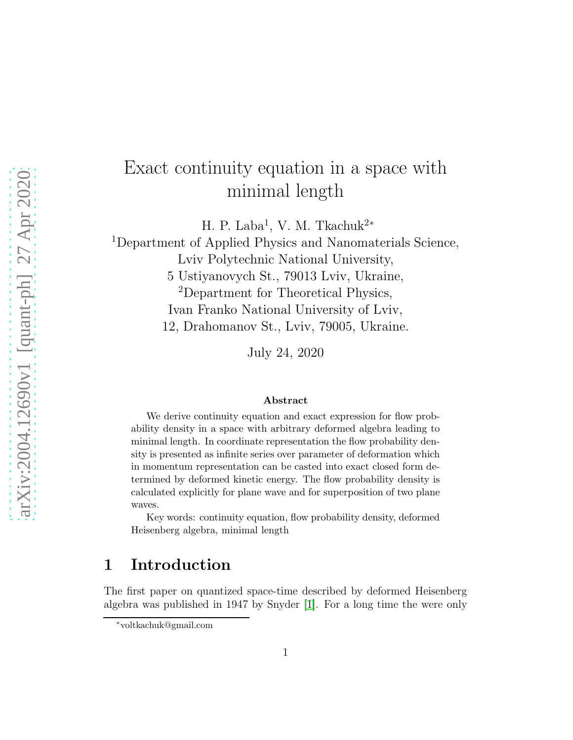# Exact continuity equation in a space with minimal length

H. P. Laba<sup>1</sup>, V. M. Tkachuk<sup>2\*</sup>

<sup>1</sup>Department of Applied Physics and Nanomaterials Science,

Lviv Polytechnic National University,

5 Ustiyanovych St., 79013 Lviv, Ukraine,

<sup>2</sup>Department for Theoretical Physics,

Ivan Franko National University of Lviv,

12, Drahomanov St., Lviv, 79005, Ukraine.

July 24, 2020

#### Abstract

We derive continuity equation and exact expression for flow probability density in a space with arbitrary deformed algebra leading to minimal length. In coordinate representation the flow probability density is presented as infinite series over parameter of deformation which in momentum representation can be casted into exact closed form determined by deformed kinetic energy. The flow probability density is calculated explicitly for plane wave and for superposition of two plane waves.

Key words: continuity equation, flow probability density, deformed Heisenberg algebra, minimal length

### 1 Introduction

The first paper on quantized space-time described by deformed Heisenberg algebra was published in 1947 by Snyder [\[1\]](#page-8-0). For a long time the were only

<sup>∗</sup>voltkachuk@gmail.com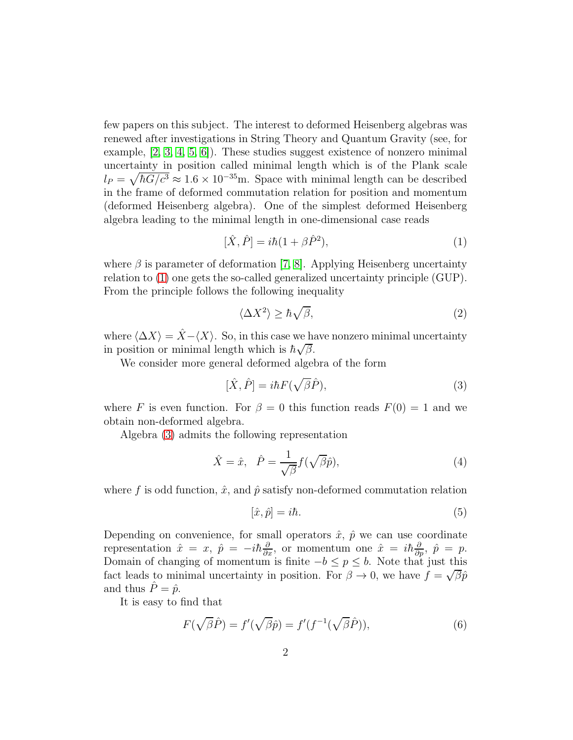few papers on this subject. The interest to deformed Heisenberg algebras was renewed after investigations in String Theory and Quantum Gravity (see, for example, [\[2,](#page-8-1) [3,](#page-9-0) [4,](#page-9-1) [5,](#page-9-2) [6\]](#page-9-3)). These studies suggest existence of nonzero minimal uncertainty in position called minimal length which is of the Plank scale  $l_P = \sqrt{\hbar G/c^3} \approx 1.6 \times 10^{-35}$ m. Space with minimal length can be described in the frame of deformed commutation relation for position and momentum (deformed Heisenberg algebra). One of the simplest deformed Heisenberg algebra leading to the minimal length in one-dimensional case reads

<span id="page-1-0"></span>
$$
[\hat{X}, \hat{P}] = i\hbar (1 + \beta \hat{P}^2),\tag{1}
$$

where  $\beta$  is parameter of deformation [\[7,](#page-9-4) [8\]](#page-9-5). Applying Heisenberg uncertainty relation to [\(1\)](#page-1-0) one gets the so-called generalized uncertainty principle (GUP). From the principle follows the following inequality

$$
\langle \Delta X^2 \rangle \ge \hbar \sqrt{\beta},\tag{2}
$$

where  $\langle \Delta X \rangle = \hat{X} - \langle X \rangle$ . So, in this case we have nonzero minimal uncertainty in position or minimal length which is  $\hbar \sqrt{\beta}$ .

We consider more general deformed algebra of the form

<span id="page-1-1"></span>
$$
[\hat{X}, \hat{P}] = i\hbar F(\sqrt{\beta}\hat{P}),\tag{3}
$$

where F is even function. For  $\beta = 0$  this function reads  $F(0) = 1$  and we obtain non-deformed algebra.

Algebra [\(3\)](#page-1-1) admits the following representation

$$
\hat{X} = \hat{x}, \quad \hat{P} = \frac{1}{\sqrt{\beta}} f(\sqrt{\beta}\hat{p}), \tag{4}
$$

where f is odd function,  $\hat{x}$ , and  $\hat{p}$  satisfy non-deformed commutation relation

$$
[\hat{x}, \hat{p}] = i\hbar. \tag{5}
$$

Depending on convenience, for small operators  $\hat{x}$ ,  $\hat{p}$  we can use coordinate representation  $\hat{x} = x$ ,  $\hat{p} = -i\hbar \frac{\partial}{\partial x}$ , or momentum one  $\hat{x} = i\hbar \frac{\partial}{\partial p}$ ,  $\hat{p} = p$ . Domain of changing of momentum is finite  $-b \le p \le b$ . Note that just this fact leads to minimal uncertainty in position. For  $\beta \to 0$ , we have  $f = \sqrt{\beta} \hat{p}$ and thus  $\ddot{P} = \hat{p}$ .

It is easy to find that

$$
F(\sqrt{\beta}\hat{P}) = f'(\sqrt{\beta}\hat{p}) = f'(f^{-1}(\sqrt{\beta}\hat{P})),\tag{6}
$$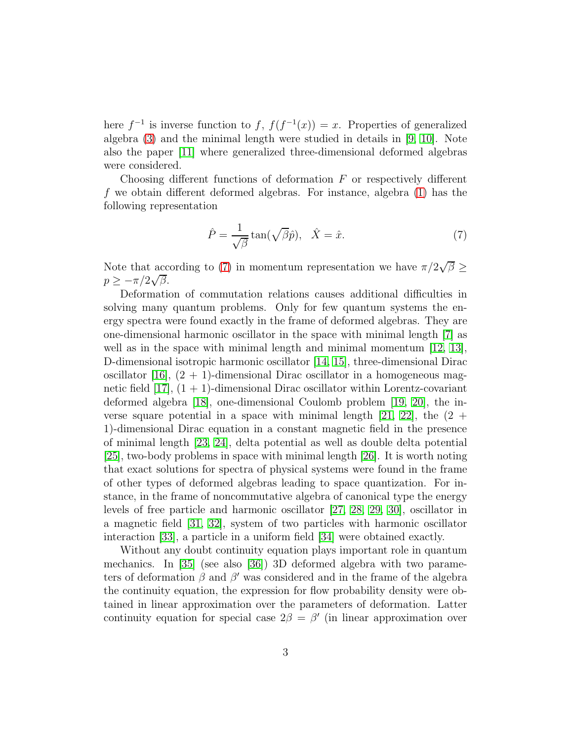here  $f^{-1}$  is inverse function to f,  $f(f^{-1}(x)) = x$ . Properties of generalized algebra [\(3\)](#page-1-1) and the minimal length were studied in details in [\[9,](#page-9-6) [10\]](#page-9-7). Note also the paper [\[11\]](#page-9-8) where generalized three-dimensional deformed algebras were considered.

Choosing different functions of deformation  $F$  or respectively different f we obtain different deformed algebras. For instance, algebra [\(1\)](#page-1-0) has the following representation

<span id="page-2-0"></span>
$$
\hat{P} = \frac{1}{\sqrt{\beta}} \tan(\sqrt{\beta}\hat{p}), \quad \hat{X} = \hat{x}.\tag{7}
$$

Note that according to [\(7\)](#page-2-0) in momentum representation we have  $\pi/2\sqrt{\beta} \geq$  $p \geq -\pi/2\sqrt{\beta}.$ 

Deformation of commutation relations causes additional difficulties in solving many quantum problems. Only for few quantum systems the energy spectra were found exactly in the frame of deformed algebras. They are one-dimensional harmonic oscillator in the space with minimal length [\[7\]](#page-9-4) as well as in the space with minimal length and minimal momentum [\[12,](#page-9-9) [13\]](#page-9-10), D-dimensional isotropic harmonic oscillator [\[14,](#page-9-11) [15\]](#page-9-12), three-dimensional Dirac oscillator [\[16\]](#page-10-0),  $(2 + 1)$ -dimensional Dirac oscillator in a homogeneous magnetic field  $[17]$ ,  $(1 + 1)$ -dimensional Dirac oscillator within Lorentz-covariant deformed algebra [\[18\]](#page-10-2), one-dimensional Coulomb problem [\[19,](#page-10-3) [20\]](#page-10-4), the in-verse square potential in a space with minimal length [\[21,](#page-10-5) [22\]](#page-10-6), the  $(2 +$ 1)-dimensional Dirac equation in a constant magnetic field in the presence of minimal length [\[23,](#page-10-7) [24\]](#page-10-8), delta potential as well as double delta potential [\[25\]](#page-10-9), two-body problems in space with minimal length [\[26\]](#page-10-10). It is worth noting that exact solutions for spectra of physical systems were found in the frame of other types of deformed algebras leading to space quantization. For instance, in the frame of noncommutative algebra of canonical type the energy levels of free particle and harmonic oscillator [\[27,](#page-11-0) [28,](#page-11-1) [29,](#page-11-2) [30\]](#page-11-3), oscillator in a magnetic field [\[31,](#page-11-4) [32\]](#page-11-5), system of two particles with harmonic oscillator interaction [\[33\]](#page-11-6), a particle in a uniform field [\[34\]](#page-11-7) were obtained exactly.

Without any doubt continuity equation plays important role in quantum mechanics. In [\[35\]](#page-11-8) (see also [\[36\]](#page-11-9)) 3D deformed algebra with two parameters of deformation  $\beta$  and  $\beta'$  was considered and in the frame of the algebra the continuity equation, the expression for flow probability density were obtained in linear approximation over the parameters of deformation. Latter continuity equation for special case  $2\beta = \beta'$  (in linear approximation over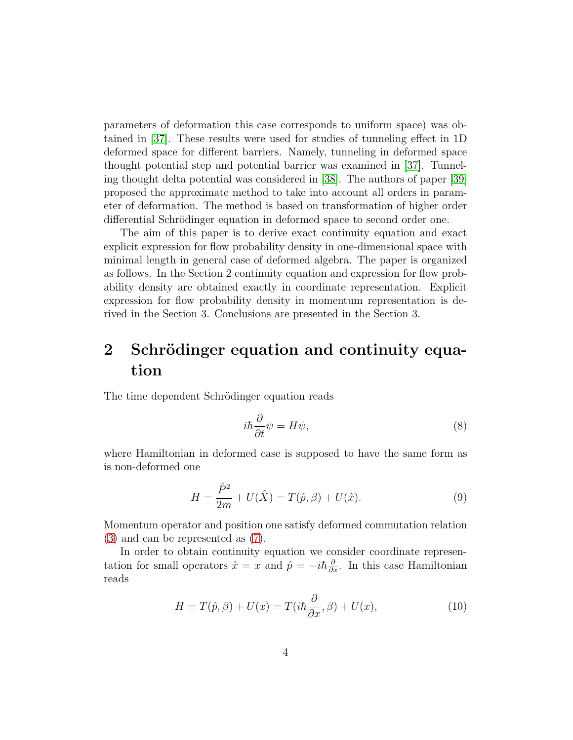parameters of deformation this case corresponds to uniform space) was obtained in [\[37\]](#page-11-10). These results were used for studies of tunneling effect in 1D deformed space for different barriers. Namely, tunneling in deformed space thought potential step and potential barrier was examined in [\[37\]](#page-11-10). Tunneling thought delta potential was considered in [\[38\]](#page-11-11). The authors of paper [\[39\]](#page-12-0) proposed the approximate method to take into account all orders in parameter of deformation. The method is based on transformation of higher order differential Schrödinger equation in deformed space to second order one.

The aim of this paper is to derive exact continuity equation and exact explicit expression for flow probability density in one-dimensional space with minimal length in general case of deformed algebra. The paper is organized as follows. In the Section 2 continuity equation and expression for flow probability density are obtained exactly in coordinate representation. Explicit expression for flow probability density in momentum representation is derived in the Section 3. Conclusions are presented in the Section 3.

### 2 Schrödinger equation and continuity equation

The time dependent Schrödinger equation reads

$$
i\hbar \frac{\partial}{\partial t} \psi = H\psi,\tag{8}
$$

where Hamiltonian in deformed case is supposed to have the same form as is non-deformed one

$$
H = \frac{\hat{P}^2}{2m} + U(\hat{X}) = T(\hat{p}, \beta) + U(\hat{x}).
$$
\n(9)

Momentum operator and position one satisfy deformed commutation relation [\(3\)](#page-1-1) and can be represented as [\(7\)](#page-2-0).

In order to obtain continuity equation we consider coordinate representation for small operators  $\hat{x} = x$  and  $\hat{p} = -i\hbar \frac{\partial}{\partial x}$ . In this case Hamiltonian reads

$$
H = T(\hat{p}, \beta) + U(x) = T(i\hbar \frac{\partial}{\partial x}, \beta) + U(x), \tag{10}
$$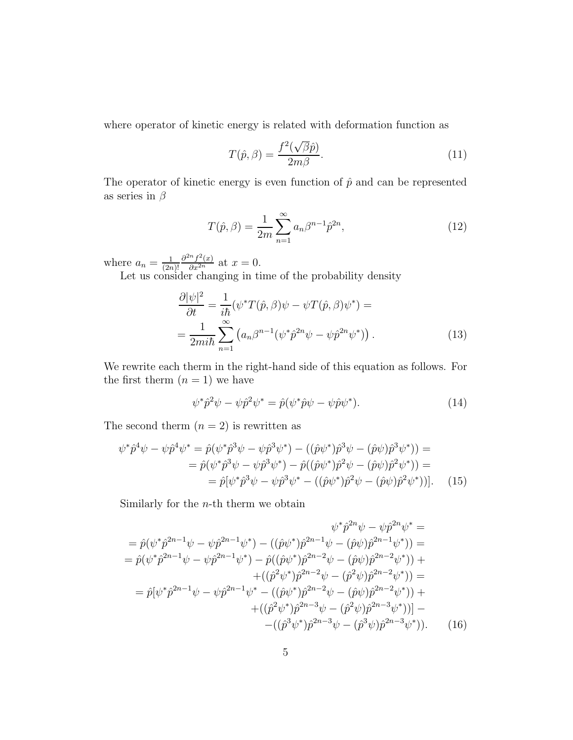where operator of kinetic energy is related with deformation function as

$$
T(\hat{p}, \beta) = \frac{f^2(\sqrt{\beta}\hat{p})}{2m\beta}.
$$
\n(11)

The operator of kinetic energy is even function of  $\hat{p}$  and can be represented as series in  $\beta$ 

<span id="page-4-1"></span>
$$
T(\hat{p}, \beta) = \frac{1}{2m} \sum_{n=1}^{\infty} a_n \beta^{n-1} \hat{p}^{2n},
$$
\n(12)

where  $a_n = \frac{1}{2n}$  $(2n)!$  $\frac{\partial^{2n} f^2(x)}{\partial x^{2n}}$  at  $x = 0$ .

Let us consider changing in time of the probability density

<span id="page-4-0"></span>
$$
\frac{\partial |\psi|^2}{\partial t} = \frac{1}{i\hbar} (\psi^* T(\hat{p}, \beta)\psi - \psi T(\hat{p}, \beta)\psi^*) =
$$

$$
= \frac{1}{2m i\hbar} \sum_{n=1}^{\infty} \left( a_n \beta^{n-1} (\psi^* \hat{p}^{2n} \psi - \psi \hat{p}^{2n} \psi^*) \right).
$$
(13)

We rewrite each therm in the right-hand side of this equation as follows. For the first therm  $(n = 1)$  we have

$$
\psi^* \hat{p}^2 \psi - \psi \hat{p}^2 \psi^* = \hat{p}(\psi^* \hat{p} \psi - \psi \hat{p} \psi^*).
$$
\n(14)

The second therm  $(n = 2)$  is rewritten as

$$
\psi^* \hat{p}^4 \psi - \psi \hat{p}^4 \psi^* = \hat{p} (\psi^* \hat{p}^3 \psi - \psi \hat{p}^3 \psi^*) - ((\hat{p}\psi^*) \hat{p}^3 \psi - (\hat{p}\psi) \hat{p}^3 \psi^*) ) =
$$
  
=  $\hat{p} (\psi^* \hat{p}^3 \psi - \psi \hat{p}^3 \psi^*) - \hat{p} ((\hat{p}\psi^*) \hat{p}^2 \psi - (\hat{p}\psi) \hat{p}^2 \psi^*) ) =$   
=  $\hat{p} [\psi^* \hat{p}^3 \psi - \psi \hat{p}^3 \psi^* - ((\hat{p}\psi^*) \hat{p}^2 \psi - (\hat{p}\psi) \hat{p}^2 \psi^*) ]].$  (15)

Similarly for the  $n$ -th therm we obtain

$$
\psi^* \hat{p}^{2n} \psi - \psi \hat{p}^{2n} \psi^* =
$$
\n
$$
= \hat{p}(\psi^* \hat{p}^{2n-1} \psi - \psi \hat{p}^{2n-1} \psi^*) - ((\hat{p}\psi^*) \hat{p}^{2n-1} \psi - (\hat{p}\psi) \hat{p}^{2n-1} \psi^*) =
$$
\n
$$
= \hat{p}(\psi^* \hat{p}^{2n-1} \psi - \psi \hat{p}^{2n-1} \psi^*) - \hat{p}((\hat{p}\psi^*) \hat{p}^{2n-2} \psi - (\hat{p}\psi) \hat{p}^{2n-2} \psi^*) +
$$
\n
$$
+ ((\hat{p}^2 \psi^*) \hat{p}^{2n-2} \psi - (\hat{p}^2 \psi) \hat{p}^{2n-2} \psi^*) =
$$
\n
$$
= \hat{p}[\psi^* \hat{p}^{2n-1} \psi - \psi \hat{p}^{2n-1} \psi^* - ((\hat{p}\psi^*) \hat{p}^{2n-2} \psi - (\hat{p}\psi) \hat{p}^{2n-2} \psi^*) +
$$
\n
$$
+ ((\hat{p}^2 \psi^*) \hat{p}^{2n-3} \psi - (\hat{p}^2 \psi) \hat{p}^{2n-3} \psi^*)] -
$$
\n
$$
- ((\hat{p}^3 \psi^*) \hat{p}^{2n-3} \psi - (\hat{p}^3 \psi) \hat{p}^{2n-3} \psi^*) . \tag{16}
$$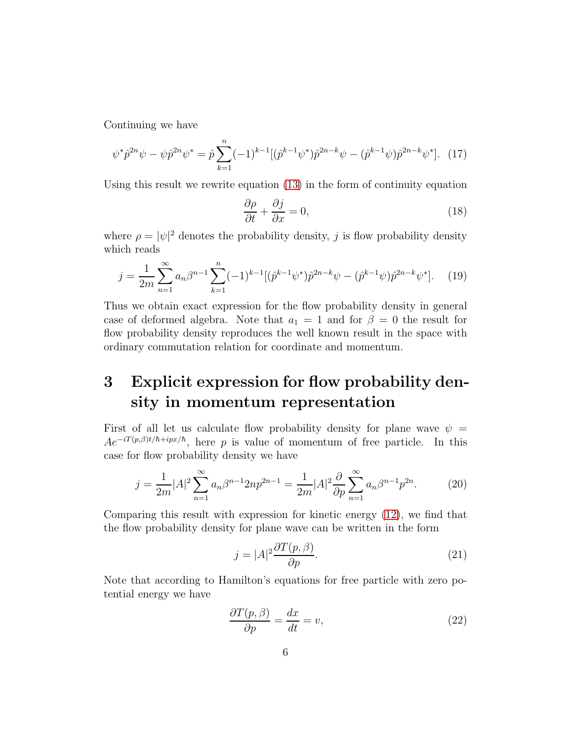Continuing we have

$$
\psi^* \hat{p}^{2n} \psi - \psi \hat{p}^{2n} \psi^* = \hat{p} \sum_{k=1}^n (-1)^{k-1} [(\hat{p}^{k-1} \psi^*) \hat{p}^{2n-k} \psi - (\hat{p}^{k-1} \psi) \hat{p}^{2n-k} \psi^*]. \tag{17}
$$

Using this result we rewrite equation [\(13\)](#page-4-0) in the form of continuity equation

<span id="page-5-3"></span>
$$
\frac{\partial \rho}{\partial t} + \frac{\partial j}{\partial x} = 0,\tag{18}
$$

where  $\rho = |\psi|^2$  denotes the probability density, j is flow probability density which reads

<span id="page-5-1"></span>
$$
j = \frac{1}{2m} \sum_{n=1}^{\infty} a_n \beta^{n-1} \sum_{k=1}^{n} (-1)^{k-1} [(\hat{p}^{k-1} \psi^*) \hat{p}^{2n-k} \psi - (\hat{p}^{k-1} \psi) \hat{p}^{2n-k} \psi^*]. \tag{19}
$$

Thus we obtain exact expression for the flow probability density in general case of deformed algebra. Note that  $a_1 = 1$  and for  $\beta = 0$  the result for flow probability density reproduces the well known result in the space with ordinary commutation relation for coordinate and momentum.

## 3 Explicit expression for flow probability density in momentum representation

First of all let us calculate flow probability density for plane wave  $\psi =$  $Ae^{-iT(p,\beta)t/\hbar+ipx/\hbar}$ , here p is value of momentum of free particle. In this case for flow probability density we have

$$
j = \frac{1}{2m}|A|^2 \sum_{n=1}^{\infty} a_n \beta^{n-1} 2np^{2n-1} = \frac{1}{2m}|A|^2 \frac{\partial}{\partial p} \sum_{n=1}^{\infty} a_n \beta^{n-1} p^{2n}.
$$
 (20)

Comparing this result with expression for kinetic energy [\(12\)](#page-4-1), we find that the flow probability density for plane wave can be written in the form

<span id="page-5-2"></span>
$$
j = |A|^2 \frac{\partial T(p, \beta)}{\partial p}.
$$
\n(21)

Note that according to Hamilton's equations for free particle with zero potential energy we have

<span id="page-5-0"></span>
$$
\frac{\partial T(p,\beta)}{\partial p} = \frac{dx}{dt} = v,\tag{22}
$$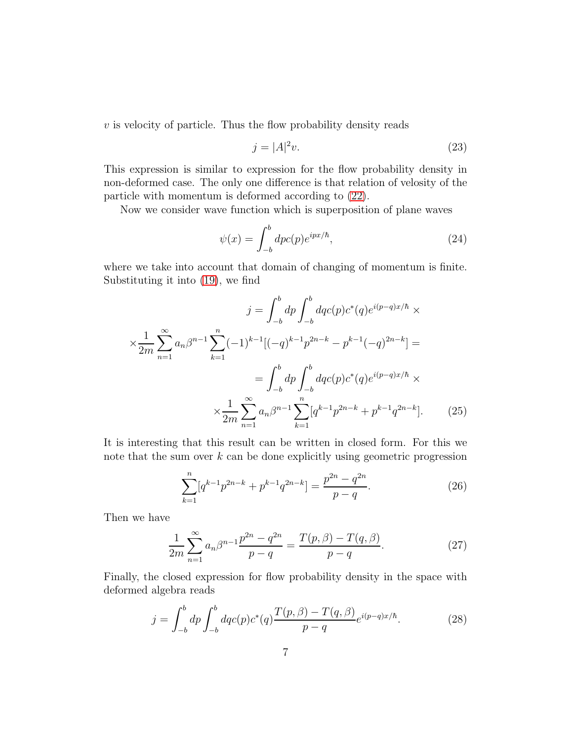$v$  is velocity of particle. Thus the flow probability density reads

<span id="page-6-1"></span>
$$
j = |A|^2 v. \tag{23}
$$

This expression is similar to expression for the flow probability density in non-deformed case. The only one difference is that relation of velosity of the particle with momentum is deformed according to [\(22\)](#page-5-0).

Now we consider wave function which is superposition of plane waves

$$
\psi(x) = \int_{-b}^{b} dpc(p)e^{ipx/\hbar},\tag{24}
$$

where we take into account that domain of changing of momentum is finite. Substituting it into [\(19\)](#page-5-1), we find

$$
j = \int_{-b}^{b} dp \int_{-b}^{b} dqc(p)c^{*}(q)e^{i(p-q)x/\hbar} \times
$$
  

$$
\times \frac{1}{2m} \sum_{n=1}^{\infty} a_n \beta^{n-1} \sum_{k=1}^{n} (-1)^{k-1} [(-q)^{k-1}p^{2n-k} - p^{k-1}(-q)^{2n-k}] =
$$
  

$$
= \int_{-b}^{b} dp \int_{-b}^{b} dqc(p)c^{*}(q)e^{i(p-q)x/\hbar} \times
$$
  

$$
\times \frac{1}{2m} \sum_{n=1}^{\infty} a_n \beta^{n-1} \sum_{k=1}^{n} [q^{k-1}p^{2n-k} + p^{k-1}q^{2n-k}].
$$
 (25)

It is interesting that this result can be written in closed form. For this we note that the sum over  $k$  can be done explicitly using geometric progression

$$
\sum_{k=1}^{n} [q^{k-1}p^{2n-k} + p^{k-1}q^{2n-k}] = \frac{p^{2n} - q^{2n}}{p - q}.
$$
 (26)

Then we have

$$
\frac{1}{2m} \sum_{n=1}^{\infty} a_n \beta^{n-1} \frac{p^{2n} - q^{2n}}{p - q} = \frac{T(p, \beta) - T(q, \beta)}{p - q}.
$$
 (27)

Finally, the closed expression for flow probability density in the space with deformed algebra reads

<span id="page-6-0"></span>
$$
j = \int_{-b}^{b} dp \int_{-b}^{b} dq c(p) c^{*}(q) \frac{T(p, \beta) - T(q, \beta)}{p - q} e^{i(p - q)x/\hbar}.
$$
 (28)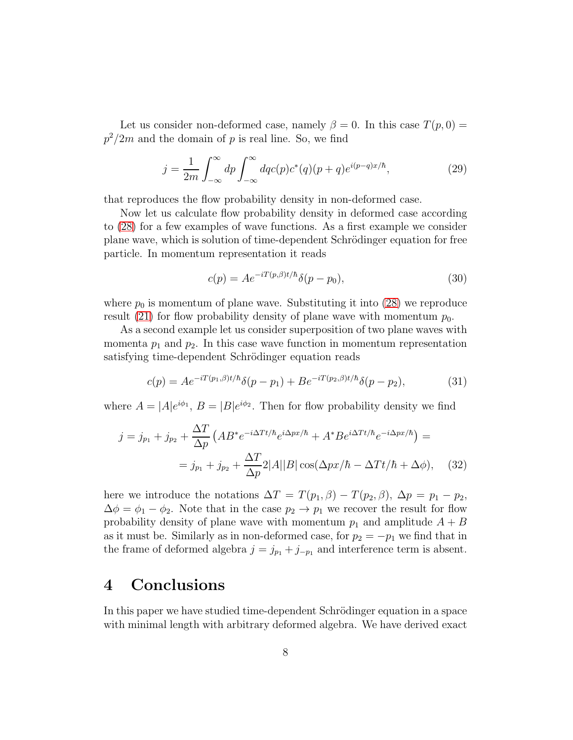Let us consider non-deformed case, namely  $\beta = 0$ . In this case  $T(p, 0) =$  $p^2/2m$  and the domain of p is real line. So, we find

$$
j = \frac{1}{2m} \int_{-\infty}^{\infty} dp \int_{-\infty}^{\infty} dq c(p) c^*(q) (p+q) e^{i(p-q)x/\hbar}, \qquad (29)
$$

that reproduces the flow probability density in non-deformed case.

Now let us calculate flow probability density in deformed case according to [\(28\)](#page-6-0) for a few examples of wave functions. As a first example we consider plane wave, which is solution of time-dependent Schrödinger equation for free particle. In momentum representation it reads

$$
c(p) = Ae^{-iT(p,\beta)t/\hbar}\delta(p-p_0),
$$
\n(30)

where  $p_0$  is momentum of plane wave. Substituting it into [\(28\)](#page-6-0) we reproduce result [\(21\)](#page-5-2) for flow probability density of plane wave with momentum  $p_0$ .

As a second example let us consider superposition of two plane waves with momenta  $p_1$  and  $p_2$ . In this case wave function in momentum representation satisfying time-dependent Schrödinger equation reads

$$
c(p) = Ae^{-iT(p_1, \beta)t/\hbar} \delta(p - p_1) + Be^{-iT(p_2, \beta)t/\hbar} \delta(p - p_2),
$$
\n(31)

where  $A = |A|e^{i\phi_1}$ ,  $B = |B|e^{i\phi_2}$ . Then for flow probability density we find

<span id="page-7-0"></span>
$$
j = j_{p_1} + j_{p_2} + \frac{\Delta T}{\Delta p} \left( AB^* e^{-i\Delta Tt/\hbar} e^{i\Delta px/\hbar} + A^* B e^{i\Delta Tt/\hbar} e^{-i\Delta px/\hbar} \right) =
$$

$$
= j_{p_1} + j_{p_2} + \frac{\Delta T}{\Delta p} 2|A||B|\cos(\Delta px/\hbar - \Delta Tt/\hbar + \Delta\phi), \quad (32)
$$

here we introduce the notations  $\Delta T = T(p_1, \beta) - T(p_2, \beta), \Delta p = p_1 - p_2$ ,  $\Delta \phi = \phi_1 - \phi_2$ . Note that in the case  $p_2 \rightarrow p_1$  we recover the result for flow probability density of plane wave with momentum  $p_1$  and amplitude  $A + B$ as it must be. Similarly as in non-deformed case, for  $p_2 = -p_1$  we find that in the frame of deformed algebra  $j = j_{p_1} + j_{-p_1}$  and interference term is absent.

### 4 Conclusions

In this paper we have studied time-dependent Schrödinger equation in a space with minimal length with arbitrary deformed algebra. We have derived exact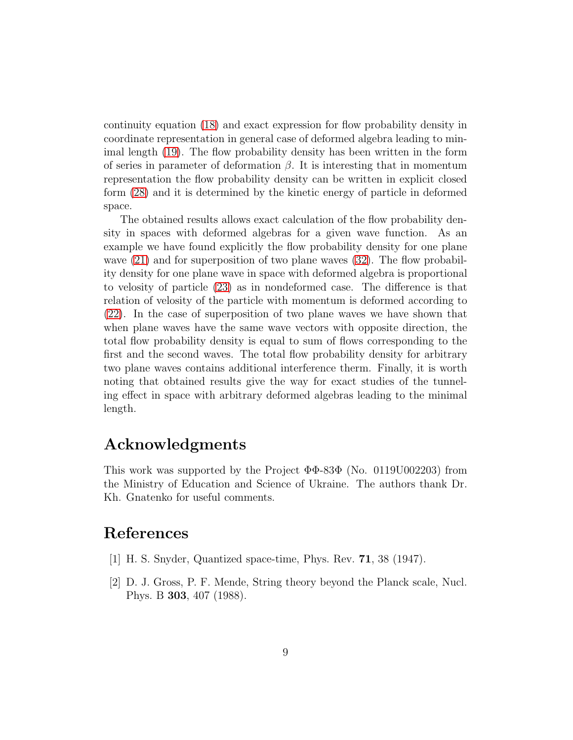continuity equation [\(18\)](#page-5-3) and exact expression for flow probability density in coordinate representation in general case of deformed algebra leading to minimal length [\(19\)](#page-5-1). The flow probability density has been written in the form of series in parameter of deformation  $\beta$ . It is interesting that in momentum representation the flow probability density can be written in explicit closed form [\(28\)](#page-6-0) and it is determined by the kinetic energy of particle in deformed space.

The obtained results allows exact calculation of the flow probability density in spaces with deformed algebras for a given wave function. As an example we have found explicitly the flow probability density for one plane wave  $(21)$  and for superposition of two plane waves  $(32)$ . The flow probability density for one plane wave in space with deformed algebra is proportional to velosity of particle [\(23\)](#page-6-1) as in nondeformed case. The difference is that relation of velosity of the particle with momentum is deformed according to [\(22\)](#page-5-0). In the case of superposition of two plane waves we have shown that when plane waves have the same wave vectors with opposite direction, the total flow probability density is equal to sum of flows corresponding to the first and the second waves. The total flow probability density for arbitrary two plane waves contains additional interference therm. Finally, it is worth noting that obtained results give the way for exact studies of the tunneling effect in space with arbitrary deformed algebras leading to the minimal length.

### Acknowledgments

This work was supported by the Project  $\Phi\Phi$ -83 $\Phi$  (No. 0119U002203) from the Ministry of Education and Science of Ukraine. The authors thank Dr. Kh. Gnatenko for useful comments.

### <span id="page-8-0"></span>References

- <span id="page-8-1"></span>[1] H. S. Snyder, Quantized space-time, Phys. Rev. 71, 38 (1947).
- [2] D. J. Gross, P. F. Mende, String theory beyond the Planck scale, Nucl. Phys. B 303, 407 (1988).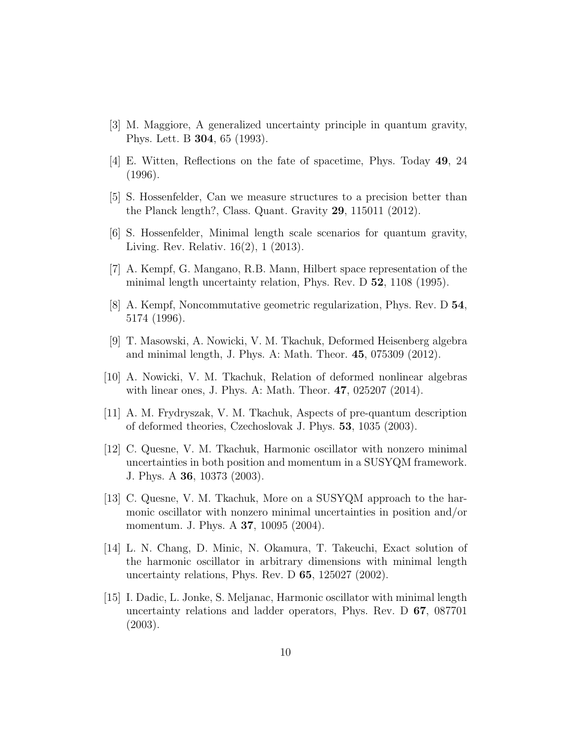- <span id="page-9-1"></span><span id="page-9-0"></span>[3] M. Maggiore, A generalized uncertainty principle in quantum gravity, Phys. Lett. B 304, 65 (1993).
- <span id="page-9-2"></span>[4] E. Witten, Reflections on the fate of spacetime, Phys. Today 49, 24 (1996).
- <span id="page-9-3"></span>[5] S. Hossenfelder, Can we measure structures to a precision better than the Planck length?, Class. Quant. Gravity 29, 115011 (2012).
- <span id="page-9-4"></span>[6] S. Hossenfelder, Minimal length scale scenarios for quantum gravity, Living. Rev. Relativ. 16(2), 1 (2013).
- <span id="page-9-5"></span>[7] A. Kempf, G. Mangano, R.B. Mann, Hilbert space representation of the minimal length uncertainty relation, Phys. Rev. D 52, 1108 (1995).
- <span id="page-9-6"></span>[8] A. Kempf, Noncommutative geometric regularization, Phys. Rev. D 54, 5174 (1996).
- <span id="page-9-7"></span>[9] T. Masowski, A. Nowicki, V. M. Tkachuk, Deformed Heisenberg algebra and minimal length, J. Phys. A: Math. Theor. 45, 075309 (2012).
- <span id="page-9-8"></span>[10] A. Nowicki, V. M. Tkachuk, Relation of deformed nonlinear algebras with linear ones, J. Phys. A: Math. Theor. 47, 025207 (2014).
- <span id="page-9-9"></span>[11] A. M. Frydryszak, V. M. Tkachuk, Aspects of pre-quantum description of deformed theories, Czechoslovak J. Phys. 53, 1035 (2003).
- [12] C. Quesne, V. M. Tkachuk, Harmonic oscillator with nonzero minimal uncertainties in both position and momentum in a SUSYQM framework. J. Phys. A 36, 10373 (2003).
- <span id="page-9-10"></span>[13] C. Quesne, V. M. Tkachuk, More on a SUSYQM approach to the harmonic oscillator with nonzero minimal uncertainties in position and/or momentum. J. Phys. A 37, 10095 (2004).
- <span id="page-9-11"></span>[14] L. N. Chang, D. Minic, N. Okamura, T. Takeuchi, Exact solution of the harmonic oscillator in arbitrary dimensions with minimal length uncertainty relations, Phys. Rev. D 65, 125027 (2002).
- <span id="page-9-12"></span>[15] I. Dadic, L. Jonke, S. Meljanac, Harmonic oscillator with minimal length uncertainty relations and ladder operators, Phys. Rev. D 67, 087701 (2003).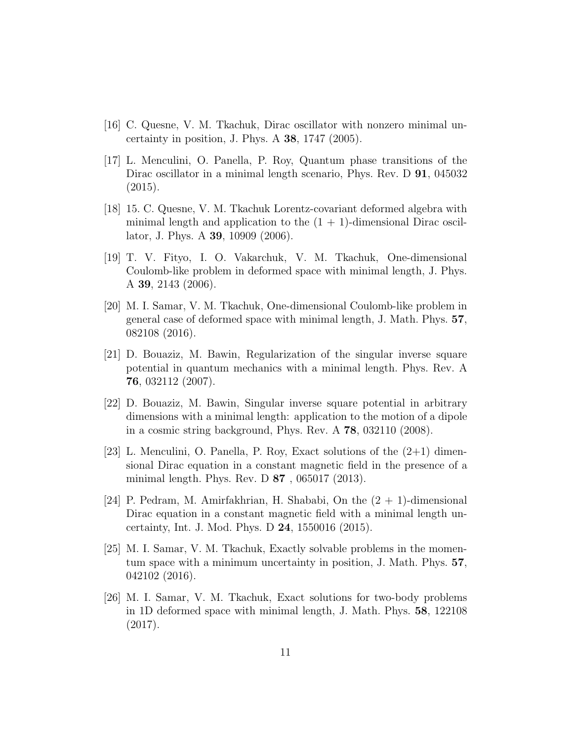- <span id="page-10-1"></span><span id="page-10-0"></span>[16] C. Quesne, V. M. Tkachuk, Dirac oscillator with nonzero minimal uncertainty in position, J. Phys. A  $38$ , 1747 (2005).
- [17] L. Menculini, O. Panella, P. Roy, Quantum phase transitions of the Dirac oscillator in a minimal length scenario, Phys. Rev. D **91**, 045032 (2015).
- <span id="page-10-2"></span>[18] 15. C. Quesne, V. M. Tkachuk Lorentz-covariant deformed algebra with minimal length and application to the  $(1 + 1)$ -dimensional Dirac oscillator, J. Phys. A 39, 10909 (2006).
- <span id="page-10-3"></span>[19] T. V. Fityo, I. O. Vakarchuk, V. M. Tkachuk, One-dimensional Coulomb-like problem in deformed space with minimal length, J. Phys. A 39, 2143 (2006).
- <span id="page-10-4"></span>[20] M. I. Samar, V. M. Tkachuk, One-dimensional Coulomb-like problem in general case of deformed space with minimal length, J. Math. Phys. 57, 082108 (2016).
- <span id="page-10-5"></span>[21] D. Bouaziz, M. Bawin, Regularization of the singular inverse square potential in quantum mechanics with a minimal length. Phys. Rev. A 76, 032112 (2007).
- <span id="page-10-6"></span>[22] D. Bouaziz, M. Bawin, Singular inverse square potential in arbitrary dimensions with a minimal length: application to the motion of a dipole in a cosmic string background, Phys. Rev. A 78, 032110 (2008).
- <span id="page-10-7"></span>[23] L. Menculini, O. Panella, P. Roy, Exact solutions of the  $(2+1)$  dimensional Dirac equation in a constant magnetic field in the presence of a minimal length. Phys. Rev. D 87 , 065017 (2013).
- <span id="page-10-8"></span>[24] P. Pedram, M. Amirfakhrian, H. Shababi, On the  $(2 + 1)$ -dimensional Dirac equation in a constant magnetic field with a minimal length uncertainty, Int. J. Mod. Phys. D 24, 1550016 (2015).
- <span id="page-10-9"></span>[25] M. I. Samar, V. M. Tkachuk, Exactly solvable problems in the momentum space with a minimum uncertainty in position, J. Math. Phys. 57, 042102 (2016).
- <span id="page-10-10"></span>[26] M. I. Samar, V. M. Tkachuk, Exact solutions for two-body problems in 1D deformed space with minimal length, J. Math. Phys. 58, 122108 (2017).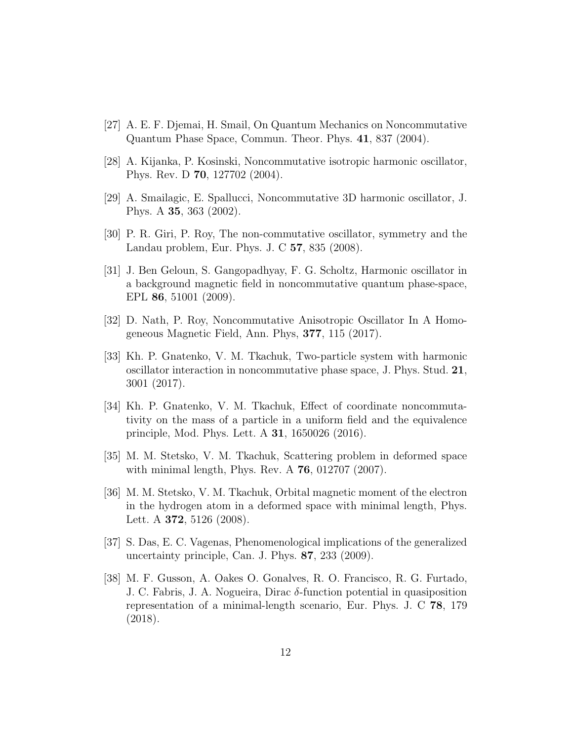- <span id="page-11-1"></span><span id="page-11-0"></span>[27] A. E. F. Djemai, H. Smail, On Quantum Mechanics on Noncommutative Quantum Phase Space, Commun. Theor. Phys. 41, 837 (2004).
- <span id="page-11-2"></span>[28] A. Kijanka, P. Kosinski, Noncommutative isotropic harmonic oscillator, Phys. Rev. D 70, 127702 (2004).
- <span id="page-11-3"></span>[29] A. Smailagic, E. Spallucci, Noncommutative 3D harmonic oscillator, J. Phys. A 35, 363 (2002).
- <span id="page-11-4"></span>[30] P. R. Giri, P. Roy, The non-commutative oscillator, symmetry and the Landau problem, Eur. Phys. J. C 57, 835 (2008).
- [31] J. Ben Geloun, S. Gangopadhyay, F. G. Scholtz, Harmonic oscillator in a background magnetic field in noncommutative quantum phase-space, EPL 86, 51001 (2009).
- <span id="page-11-6"></span><span id="page-11-5"></span>[32] D. Nath, P. Roy, Noncommutative Anisotropic Oscillator In A Homogeneous Magnetic Field, Ann. Phys, 377, 115 (2017).
- [33] Kh. P. Gnatenko, V. M. Tkachuk, Two-particle system with harmonic oscillator interaction in noncommutative phase space, J. Phys. Stud. 21, 3001 (2017).
- <span id="page-11-7"></span>[34] Kh. P. Gnatenko, V. M. Tkachuk, Effect of coordinate noncommutativity on the mass of a particle in a uniform field and the equivalence principle, Mod. Phys. Lett. A 31, 1650026 (2016).
- <span id="page-11-9"></span><span id="page-11-8"></span>[35] M. M. Stetsko, V. M. Tkachuk, Scattering problem in deformed space with minimal length, Phys. Rev. A 76, 012707 (2007).
- [36] M. M. Stetsko, V. M. Tkachuk, Orbital magnetic moment of the electron in the hydrogen atom in a deformed space with minimal length, Phys. Lett. A **372**, 5126 (2008).
- <span id="page-11-11"></span><span id="page-11-10"></span>[37] S. Das, E. C. Vagenas, Phenomenological implications of the generalized uncertainty principle, Can. J. Phys. 87, 233 (2009).
- [38] M. F. Gusson, A. Oakes O. Gonalves, R. O. Francisco, R. G. Furtado, J. C. Fabris, J. A. Nogueira, Dirac  $\delta$ -function potential in quasiposition representation of a minimal-length scenario, Eur. Phys. J. C 78, 179 (2018).